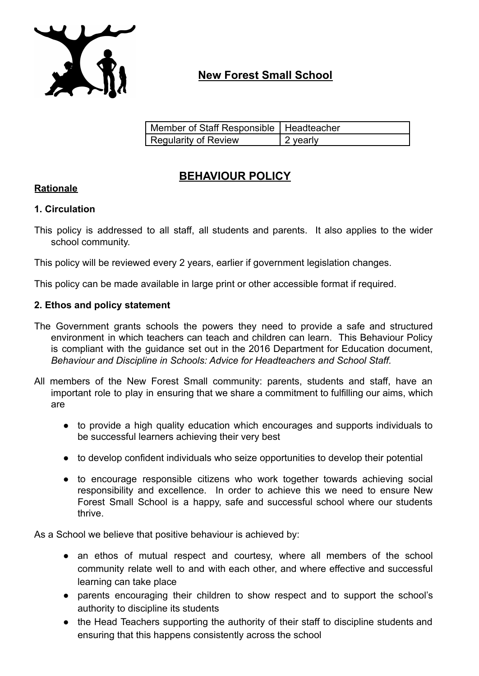

# **New Forest Small School**

| Member of Staff Responsible   Headteacher |                  |
|-------------------------------------------|------------------|
| Regularity of Review                      | $\vert$ 2 yearly |

# **BEHAVIOUR POLICY**

## **Rationale**

#### **1. Circulation**

This policy is addressed to all staff, all students and parents. It also applies to the wider school community.

This policy will be reviewed every 2 years, earlier if government legislation changes.

This policy can be made available in large print or other accessible format if required.

#### **2. Ethos and policy statement**

- The Government grants schools the powers they need to provide a safe and structured environment in which teachers can teach and children can learn. This Behaviour Policy is compliant with the guidance set out in the 2016 Department for Education document, *Behaviour and Discipline in Schools: Advice for Headteachers and School Staff.*
- All members of the New Forest Small community: parents, students and staff, have an important role to play in ensuring that we share a commitment to fulfilling our aims, which are
	- to provide a high quality education which encourages and supports individuals to be successful learners achieving their very best
	- to develop confident individuals who seize opportunities to develop their potential
	- to encourage responsible citizens who work together towards achieving social responsibility and excellence. In order to achieve this we need to ensure New Forest Small School is a happy, safe and successful school where our students thrive.

As a School we believe that positive behaviour is achieved by:

- an ethos of mutual respect and courtesy, where all members of the school community relate well to and with each other, and where effective and successful learning can take place
- parents encouraging their children to show respect and to support the school's authority to discipline its students
- the Head Teachers supporting the authority of their staff to discipline students and ensuring that this happens consistently across the school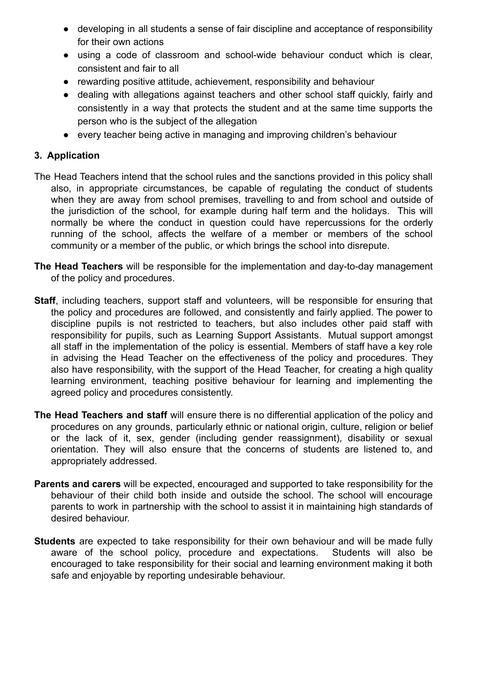- developing in all students a sense of fair discipline and acceptance of responsibility for their own actions
- using a code of classroom and school-wide behaviour conduct which is clear, consistent and fair to all
- rewarding positive attitude, achievement, responsibility and behaviour
- dealing with allegations against teachers and other school staff quickly, fairly and consistently in a way that protects the student and at the same time supports the person who is the subject of the allegation
- every teacher being active in managing and improving children's behaviour

## **3. Application**

- The Head Teachers intend that the school rules and the sanctions provided in this policy shall also, in appropriate circumstances, be capable of regulating the conduct of students when they are away from school premises, travelling to and from school and outside of the jurisdiction of the school, for example during half term and the holidays. This will normally be where the conduct in question could have repercussions for the orderly running of the school, affects the welfare of a member or members of the school community or a member of the public, or which brings the school into disrepute.
- **The Head Teachers** will be responsible for the implementation and day-to-day management of the policy and procedures.
- **Staff**, including teachers, support staff and volunteers, will be responsible for ensuring that the policy and procedures are followed, and consistently and fairly applied. The power to discipline pupils is not restricted to teachers, but also includes other paid staff with responsibility for pupils, such as Learning Support Assistants. Mutual support amongst all staff in the implementation of the policy is essential. Members of staff have a key role in advising the Head Teacher on the effectiveness of the policy and procedures. They also have responsibility, with the support of the Head Teacher, for creating a high quality learning environment, teaching positive behaviour for learning and implementing the agreed policy and procedures consistently.
- **The Head Teachers and staff** will ensure there is no differential application of the policy and procedures on any grounds, particularly ethnic or national origin, culture, religion or belief or the lack of it, sex, gender (including gender reassignment), disability or sexual orientation. They will also ensure that the concerns of students are listened to, and appropriately addressed.
- **Parents and carers** will be expected, encouraged and supported to take responsibility for the behaviour of their child both inside and outside the school. The school will encourage parents to work in partnership with the school to assist it in maintaining high standards of desired behaviour.
- **Students** are expected to take responsibility for their own behaviour and will be made fully aware of the school policy, procedure and expectations. Students will also be encouraged to take responsibility for their social and learning environment making it both safe and enjoyable by reporting undesirable behaviour.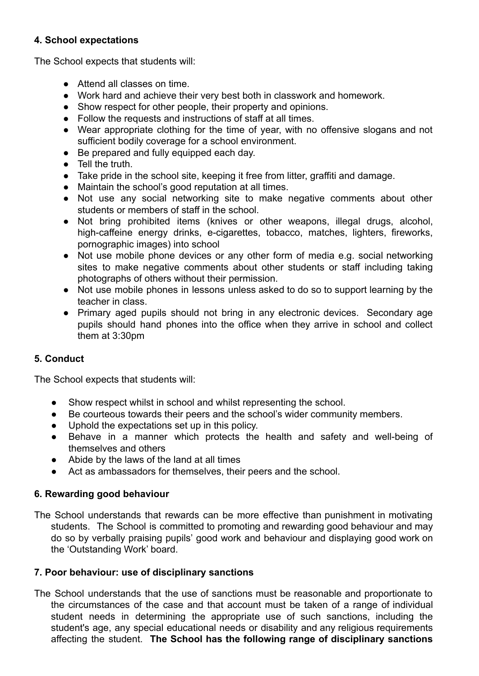### **4. School expectations**

The School expects that students will:

- Attend all classes on time.
- Work hard and achieve their very best both in classwork and homework.
- Show respect for other people, their property and opinions.
- Follow the requests and instructions of staff at all times.
- Wear appropriate clothing for the time of year, with no offensive slogans and not sufficient bodily coverage for a school environment.
- Be prepared and fully equipped each day.
- Tell the truth.
- Take pride in the school site, keeping it free from litter, graffiti and damage.
- Maintain the school's good reputation at all times.
- Not use any social networking site to make negative comments about other students or members of staff in the school.
- Not bring prohibited items (knives or other weapons, illegal drugs, alcohol, high-caffeine energy drinks, e-cigarettes, tobacco, matches, lighters, fireworks, pornographic images) into school
- Not use mobile phone devices or any other form of media e.g. social networking sites to make negative comments about other students or staff including taking photographs of others without their permission.
- Not use mobile phones in lessons unless asked to do so to support learning by the teacher in class.
- Primary aged pupils should not bring in any electronic devices. Secondary age pupils should hand phones into the office when they arrive in school and collect them at 3:30pm

# **5. Conduct**

The School expects that students will:

- Show respect whilst in school and whilst representing the school.
- Be courteous towards their peers and the school's wider community members.
- Uphold the expectations set up in this policy.
- Behave in a manner which protects the health and safety and well-being of themselves and others
- Abide by the laws of the land at all times
- Act as ambassadors for themselves, their peers and the school.

#### **6. Rewarding good behaviour**

The School understands that rewards can be more effective than punishment in motivating students. The School is committed to promoting and rewarding good behaviour and may do so by verbally praising pupils' good work and behaviour and displaying good work on the 'Outstanding Work' board.

#### **7. Poor behaviour: use of disciplinary sanctions**

The School understands that the use of sanctions must be reasonable and proportionate to the circumstances of the case and that account must be taken of a range of individual student needs in determining the appropriate use of such sanctions, including the student's age, any special educational needs or disability and any religious requirements affecting the student. **The School has the following range of disciplinary sanctions**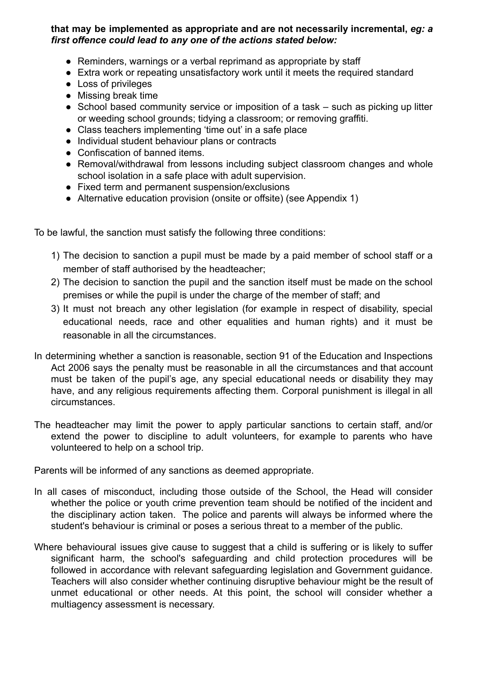**that may be implemented as appropriate and are not necessarily incremental,** *eg: a first offence could lead to any one of the actions stated below:*

- Reminders, warnings or a verbal reprimand as appropriate by staff
- Extra work or repeating unsatisfactory work until it meets the required standard
- Loss of privileges
- Missing break time
- School based community service or imposition of a task such as picking up litter or weeding school grounds; tidying a classroom; or removing graffiti.
- Class teachers implementing 'time out' in a safe place
- Individual student behaviour plans or contracts
- Confiscation of banned items.
- Removal/withdrawal from lessons including subject classroom changes and whole school isolation in a safe place with adult supervision.
- Fixed term and permanent suspension/exclusions
- Alternative education provision (onsite or offsite) (see Appendix 1)

To be lawful, the sanction must satisfy the following three conditions:

- 1) The decision to sanction a pupil must be made by a paid member of school staff or a member of staff authorised by the headteacher;
- 2) The decision to sanction the pupil and the sanction itself must be made on the school premises or while the pupil is under the charge of the member of staff; and
- 3) It must not breach any other legislation (for example in respect of disability, special educational needs, race and other equalities and human rights) and it must be reasonable in all the circumstances.
- In determining whether a sanction is reasonable, section 91 of the Education and Inspections Act 2006 says the penalty must be reasonable in all the circumstances and that account must be taken of the pupil's age, any special educational needs or disability they may have, and any religious requirements affecting them. Corporal punishment is illegal in all circumstances.
- The headteacher may limit the power to apply particular sanctions to certain staff, and/or extend the power to discipline to adult volunteers, for example to parents who have volunteered to help on a school trip.

Parents will be informed of any sanctions as deemed appropriate.

- In all cases of misconduct, including those outside of the School, the Head will consider whether the police or youth crime prevention team should be notified of the incident and the disciplinary action taken. The police and parents will always be informed where the student's behaviour is criminal or poses a serious threat to a member of the public.
- Where behavioural issues give cause to suggest that a child is suffering or is likely to suffer significant harm, the school's safeguarding and child protection procedures will be followed in accordance with relevant safeguarding legislation and Government guidance. Teachers will also consider whether continuing disruptive behaviour might be the result of unmet educational or other needs. At this point, the school will consider whether a multiagency assessment is necessary.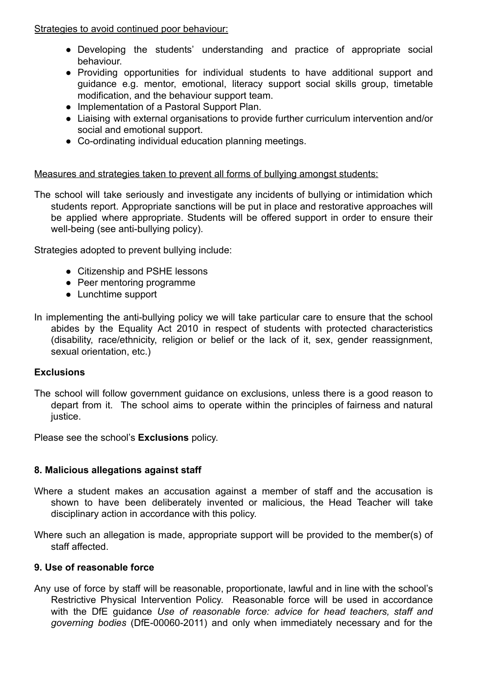Strategies to avoid continued poor behaviour:

- Developing the students' understanding and practice of appropriate social behaviour.
- Providing opportunities for individual students to have additional support and guidance e.g. mentor, emotional, literacy support social skills group, timetable modification, and the behaviour support team.
- Implementation of a Pastoral Support Plan.
- Liaising with external organisations to provide further curriculum intervention and/or social and emotional support.
- Co-ordinating individual education planning meetings.

# Measures and strategies taken to prevent all forms of bullying amongst students:

The school will take seriously and investigate any incidents of bullying or intimidation which students report. Appropriate sanctions will be put in place and restorative approaches will be applied where appropriate. Students will be offered support in order to ensure their well-being (see anti-bullying policy).

Strategies adopted to prevent bullying include:

- Citizenship and PSHE lessons
- Peer mentoring programme
- Lunchtime support
- In implementing the anti-bullying policy we will take particular care to ensure that the school abides by the Equality Act 2010 in respect of students with protected characteristics (disability, race/ethnicity, religion or belief or the lack of it, sex, gender reassignment, sexual orientation, etc.)

# **Exclusions**

The school will follow government guidance on exclusions, unless there is a good reason to depart from it. The school aims to operate within the principles of fairness and natural justice.

Please see the school's **Exclusions** policy.

# **8. Malicious allegations against staff**

- Where a student makes an accusation against a member of staff and the accusation is shown to have been deliberately invented or malicious, the Head Teacher will take disciplinary action in accordance with this policy.
- Where such an allegation is made, appropriate support will be provided to the member(s) of staff affected.

# **9. Use of reasonable force**

Any use of force by staff will be reasonable, proportionate, lawful and in line with the school's Restrictive Physical Intervention Policy. Reasonable force will be used in accordance with the DfE guidance *Use of reasonable force: advice for head teachers, staff and governing bodies* (DfE-00060-2011) and only when immediately necessary and for the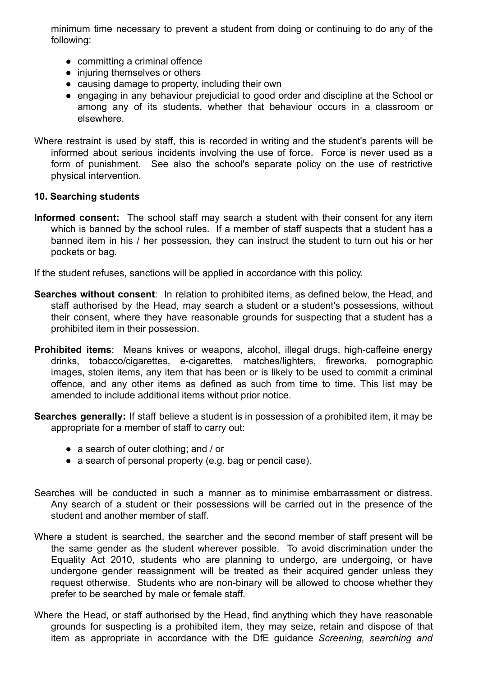minimum time necessary to prevent a student from doing or continuing to do any of the following:

- committing a criminal offence
- injuring themselves or others
- causing damage to property, including their own
- engaging in any behaviour prejudicial to good order and discipline at the School or among any of its students, whether that behaviour occurs in a classroom or elsewhere.
- Where restraint is used by staff, this is recorded in writing and the student's parents will be informed about serious incidents involving the use of force. Force is never used as a form of punishment. See also the school's separate policy on the use of restrictive physical intervention.

#### **10. Searching students**

**Informed consent:** The school staff may search a student with their consent for any item which is banned by the school rules. If a member of staff suspects that a student has a banned item in his / her possession, they can instruct the student to turn out his or her pockets or bag.

If the student refuses, sanctions will be applied in accordance with this policy.

- **Searches without consent**: In relation to prohibited items, as defined below, the Head, and staff authorised by the Head, may search a student or a student's possessions, without their consent, where they have reasonable grounds for suspecting that a student has a prohibited item in their possession.
- **Prohibited items**: Means knives or weapons, alcohol, illegal drugs, high-caffeine energy drinks, tobacco/cigarettes, e-cigarettes, matches/lighters, fireworks, pornographic images, stolen items, any item that has been or is likely to be used to commit a criminal offence, and any other items as defined as such from time to time. This list may be amended to include additional items without prior notice.
- **Searches generally:** If staff believe a student is in possession of a prohibited item, it may be appropriate for a member of staff to carry out:
	- a search of outer clothing; and / or
	- a search of personal property (e.g. bag or pencil case).
- Searches will be conducted in such a manner as to minimise embarrassment or distress. Any search of a student or their possessions will be carried out in the presence of the student and another member of staff.
- Where a student is searched, the searcher and the second member of staff present will be the same gender as the student wherever possible. To avoid discrimination under the Equality Act 2010, students who are planning to undergo, are undergoing, or have undergone gender reassignment will be treated as their acquired gender unless they request otherwise. Students who are non-binary will be allowed to choose whether they prefer to be searched by male or female staff.
- Where the Head, or staff authorised by the Head, find anything which they have reasonable grounds for suspecting is a prohibited item, they may seize, retain and dispose of that item as appropriate in accordance with the DfE guidance *Screening, searching and*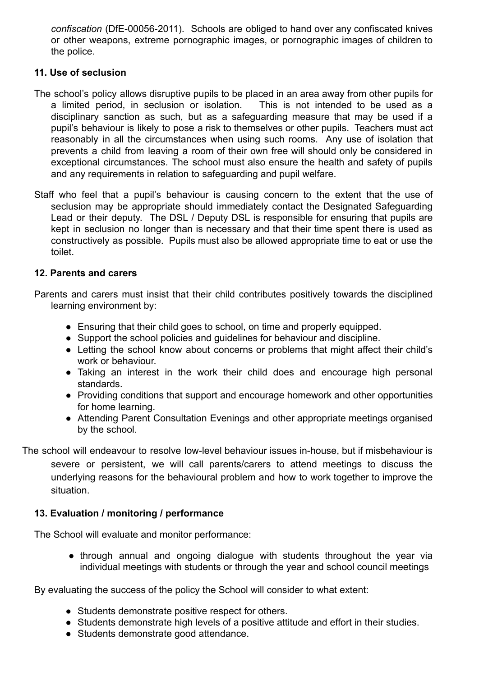*confiscation* (DfE-00056-2011). Schools are obliged to hand over any confiscated knives or other weapons, extreme pornographic images, or pornographic images of children to the police.

#### **11. Use of seclusion**

- The school's policy allows disruptive pupils to be placed in an area away from other pupils for a limited period, in seclusion or isolation. This is not intended to be used as a disciplinary sanction as such, but as a safeguarding measure that may be used if a pupil's behaviour is likely to pose a risk to themselves or other pupils. Teachers must act reasonably in all the circumstances when using such rooms. Any use of isolation that prevents a child from leaving a room of their own free will should only be considered in exceptional circumstances. The school must also ensure the health and safety of pupils and any requirements in relation to safeguarding and pupil welfare.
- Staff who feel that a pupil's behaviour is causing concern to the extent that the use of seclusion may be appropriate should immediately contact the Designated Safeguarding Lead or their deputy. The DSL / Deputy DSL is responsible for ensuring that pupils are kept in seclusion no longer than is necessary and that their time spent there is used as constructively as possible. Pupils must also be allowed appropriate time to eat or use the toilet.

#### **12. Parents and carers**

Parents and carers must insist that their child contributes positively towards the disciplined learning environment by:

- Ensuring that their child goes to school, on time and properly equipped.
- Support the school policies and guidelines for behaviour and discipline.
- Letting the school know about concerns or problems that might affect their child's work or behaviour.
- Taking an interest in the work their child does and encourage high personal standards.
- Providing conditions that support and encourage homework and other opportunities for home learning.
- Attending Parent Consultation Evenings and other appropriate meetings organised by the school.

The school will endeavour to resolve low-level behaviour issues in-house, but if misbehaviour is severe or persistent, we will call parents/carers to attend meetings to discuss the underlying reasons for the behavioural problem and how to work together to improve the situation.

# **13. Evaluation / monitoring / performance**

The School will evaluate and monitor performance:

● through annual and ongoing dialogue with students throughout the year via individual meetings with students or through the year and school council meetings

By evaluating the success of the policy the School will consider to what extent:

- Students demonstrate positive respect for others.
- Students demonstrate high levels of a positive attitude and effort in their studies.
- Students demonstrate good attendance.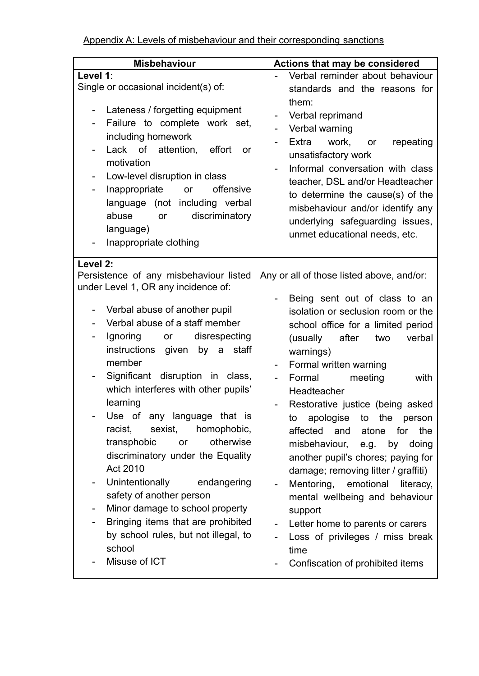| <b>Misbehaviour</b>                                                                                                                                                                                                                                                                                                                                                                                                                                                                                                              | Actions that may be considered                                                                                                                                                                                                                                                                                                                                                                                                                                                                                 |
|----------------------------------------------------------------------------------------------------------------------------------------------------------------------------------------------------------------------------------------------------------------------------------------------------------------------------------------------------------------------------------------------------------------------------------------------------------------------------------------------------------------------------------|----------------------------------------------------------------------------------------------------------------------------------------------------------------------------------------------------------------------------------------------------------------------------------------------------------------------------------------------------------------------------------------------------------------------------------------------------------------------------------------------------------------|
| Level 1:<br>Single or occasional incident(s) of:<br>Lateness / forgetting equipment<br>÷,<br>Failure to complete work set,<br>$\blacksquare$<br>including homework<br>Lack of attention,<br>effort<br><b>or</b><br>motivation<br>Low-level disruption in class<br>$\overline{\phantom{a}}$<br>offensive<br>Inappropriate<br>or<br>$\qquad \qquad \blacksquare$<br>language (not including verbal<br>discriminatory<br>abuse<br>or<br>language)<br>Inappropriate clothing<br>Level 2:                                             | Verbal reminder about behaviour<br>standards and the reasons for<br>them:<br>Verbal reprimand<br>Verbal warning<br>Extra<br>work,<br>repeating<br>or<br>unsatisfactory work<br>Informal conversation with class<br>teacher, DSL and/or Headteacher<br>to determine the cause(s) of the<br>misbehaviour and/or identify any<br>underlying safeguarding issues,<br>unmet educational needs, etc.                                                                                                                 |
| Persistence of any misbehaviour listed<br>under Level 1, OR any incidence of:<br>Verbal abuse of another pupil<br>$\overline{a}$<br>Verbal abuse of a staff member<br>Ignoring or<br>disrespecting<br>$\overline{\phantom{0}}$<br>instructions given<br>by a staff<br>member<br>Significant disruption in class,<br>$\blacksquare$<br>which interferes with other pupils'<br>learning<br>Use of any language that is<br>racist,<br>sexist,<br>homophobic,<br>otherwise<br>transphobic<br>or<br>discriminatory under the Equality | Any or all of those listed above, and/or:<br>Being sent out of class to an<br>isolation or seclusion room or the<br>school office for a limited period<br>(usually<br>after<br>verbal<br>two<br>warnings)<br>Formal written warning<br>$\overline{\phantom{0}}$<br>Formal<br>meeting<br>with<br>Headteacher<br>Restorative justice (being asked<br>apologise<br>to the<br>person<br>to<br>affected<br>and<br>the<br>atone<br>for<br>misbehaviour,<br>e.g.<br>by<br>doing<br>another pupil's chores; paying for |
| Act 2010<br>Unintentionally<br>endangering<br>safety of another person<br>Minor damage to school property<br>-<br>Bringing items that are prohibited<br>by school rules, but not illegal, to<br>school<br>Misuse of ICT                                                                                                                                                                                                                                                                                                          | damage; removing litter / graffiti)<br>Mentoring,<br>emotional<br>literacy,<br>mental wellbeing and behaviour<br>support<br>Letter home to parents or carers<br>Loss of privileges / miss break<br>time<br>Confiscation of prohibited items                                                                                                                                                                                                                                                                    |